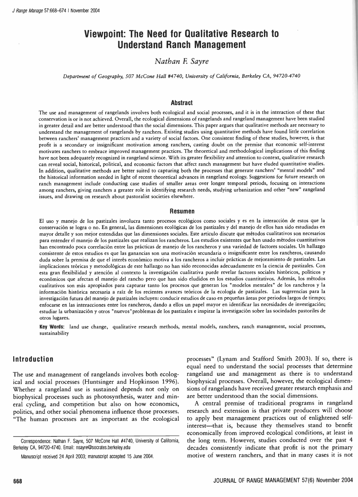# Viewpoint: The Need for Qualitative Research to Understand Ranch Management

## Nathan F. Sayre

Department of Geography, S07 McCone Hall #4740, University of California, Berkeley CA, 94720 -4740

#### Abstract

The use and management of rangelands involves both ecological and social processes, and it is in the interaction of these that conservation is or is not achieved. Overall, the ecological dimensions of rangelands and rangeland management have been studied in greater detail and are better understood than the social dimensions. This paper argues that qualitative methods are necessary to understand the management of rangelands by ranchers. Existing studies using quantitative methods have found little correlation between ranchers' management practices and a variety of social factors. One consistent finding of these studies, however, is that profit is a secondary or insignificant motivation among ranchers, casting doubt on the premise that economic self-interest motivates ranchers to embrace improved management practices. The theoretical and methodological implications of this finding have not been adequately recognized in rangeland science. With its greater flexibility and attention to context, qualitative research can reveal social, historical, political, and economic factors that affect ranch management but have eluded quantitative studies. In addition, qualitative methods are better suited to capturing both the processes that generate ranchers' "mental models" and the historical information needed in light of recent theoretical advances in rangeland ecology. Suggestions for future research on ranch management include conducting case studies of smaller areas over longer temporal periods, focusing on interactions among ranchers, giving ranchers a greater role in identifying research needs, studying urbanization and other "new" rangeland issues, and drawing on research about pastoralist societies elsewhere.

#### Resumen

El uso y manejo de los pastizales involucra tanto procesos ecológicos como sociales y es en la interacción de estos que la conservación se logra o no. En general, las dimensiones ecológicas de los pastizales y del manejo de ellos han sido estudiadas en mayor detalle y son mejor entendidas que las dimensiones sociales. Este articulo discute que métodos cualitativos son necesarios para entender el manejo de los pastizales que realizan los rancheros. Los estudios existentes que han usado métodos cuantitativos han encontrado poca correlación entre las prácticas de manejo de los rancheros y una variedad de factores sociales. Un hallazgo consistente de estos estudios es que las ganancias son una motivación secundaria o insignificante entre los rancheros, causando duda sobre la premisa de que el interés económico motiva a los rancheros a incluir prácticas de mejoramiento de pastizales. Las implicaciones teóricas y metodológicas de este hallazgo no han sido reconocidas adecuadamente en la ciencia de pastizales. Con esta gran flexibilidad y atención al contexto la investigación cualitativa puede revelar factores sociales históricos, políticos y económicos que afectan el manejo del rancho pero que han sido eludidos en los estudios cuantitativos. Además, los métodos cualitativos son más apropiados para capturar tanto los procesos que generan los "modelos mentales" de los rancheros y la información histórica necesaria a raíz de los recientes avances teóricos de la ecología de pastizales. Las sugerencias para la investigación futura del manejo de pastizales incluyen: conducir estudios de caso en pequeñas áreas por periodos largos de tiempo; enfocarse en las interacciones entre los rancheros, dando a ellos un papel mayor en identificar las necesidades de investigación; estudiar la urbanización y otros "nuevos "problemas de los pastizales e inspirar la investigación sobre las sociedades pastoriles de otros lugares.

Key Words: land use change, qualitative research methods, mental models, ranchers, ranch management, social processes, sustainability

#### Introduction

The use and management of rangelands involves both ecological and social processes (Huntsinger and Hopkinson 1996). Whether a rangeland use is sustained depends not only on biophysical processes such as photosynthesis, water and mineral cycling, and competition but also on how economics, politics, and other social phenomena influence those processes. "The human processes are as important as the ecological processes" (Lynam and Stafford Smith 2003). If so, there is equal need to understand the social processes that determine rangeland use and management as there is to understand biophysical processes. Overall, however, the ecological dimensions of rangelands have received greater research emphasis and are better understood than the social dimensions.

A central premise of traditional programs in rangeland research and extension is that private producers will choose to apply best management practices out of enlightened self interest-that is, because they themselves stand to benefit economically from improved ecological conditions, at least in the long term. However, studies conducted over the past 4 decades consistently indicate that profit is not the primary motive of western ranchers, and that in many cases it is not

Correspondence: Nathan F. Sayre, 507 McCone Hall #4740, University of California, Berkeley CA, 94720-4740. Email: nsayre@socrates.berkeley.edu

Manuscript received 24 April 2003; manuscript accepted 15 June 2004.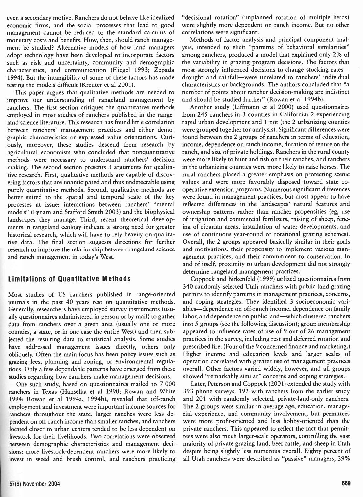even a secondary motive. Ranchers do not behave like idealized economic firms, and the social processes that lead to good management cannot be reduced to the standard calculus of monetary costs and benefits. How, then, should ranch management be studied? Alternative models of how land managers adopt technology have been developed to incorporate factors such as risk and uncertainty, community and demographic characteristics, and communication (Fliegel 1993; Zepada 1994). But the intangibility of some of these factors has made testing the models difficult (Kreuter et al 2001).

This paper argues that qualitative methods are needed to improve our understanding of rangeland management by ranchers. The first section critiques the quantitative methods employed in most studies of ranchers published in the rangeland science literature. This research has found little correlation between ranchers' management practices and either demographic characteristics or expressed value orientations. Curiously, moreover, these studies descend from research by agricultural economists who concluded that nonquantitative methods were necessary to understand ranchers' decision making. The second section presents 3 arguments for qualitative research. First, qualitative methods are capable of discovering factors that are unanticipated and thus undetectable using purely quantitative methods. Second, qualitative methods are better suited to the spatial and temporal scale of the key processes at issue: interactions between ranchers' "mental models" (Lynam and Stafford Smith 2003) and the biophysical landscapes they manage. Third, recent theoretical developments in rangeland ecology indicate a strong need for greater historical research, which will have to rely heavily on qualitative data. The final section suggests directions for further research to improve the relationship between rangeland science and ranch management in today's West.

# Limitations of Quantitative Methods

Most studies of US ranchers published in range-oriented journals in the past 40 years rest on quantitative methods. Generally, researchers have employed survey instruments (usually questionnaires administered in person or by mail) to gather data from ranchers over a given area (usually one or more counties, a state, or in one case the entire West) and then subjected the resulting data to statistical analysis. Some studies have addressed management issues directly, others only obliquely. Often the main focus has been policy issues such as grazing fees, planning and zoning, or environmental regulations. Only a few dependable patterns have emerged from these studies regarding how ranchers make management decisions.

One such study, based on questionnaires mailed to 7 000 ranchers in Texas (Hanselka et al 1990; Rowan and White 1994; Rowan et al 1994a, 1994b), revealed that off-ranch employment and investment were important income sources for ranchers throughout the state, larger ranches were less dependent on off-ranch income than smaller ranches, and ranchers located closer to urban centers tended to be less dependent on livestock for their livelihoods. Two correlations were observed between demographic characteristics and management decisions: more livestock dependent ranchers were more likely to invest in weed and brush control, and ranchers practicing

"decisional rotation" (unplanned rotation of multiple herds) were slightly more dependent on ranch income. But no other correlations were significant.

Methods of factor analysis and principal component analysis, intended to elicit "patterns of behavioral similarities" among ranchers, produced a model that explained only 2% of the variability in grazing program decisions. The factors that most strongly influenced decisions to change stocking rates drought and rainfall-were unrelated to ranchers' individual characteristics or backgrounds. The authors concluded that "a number of points about rancher decision making are indistinct and should be studied further" (Rowan et al 1994b).

Another study (Liffmann et al 2000) used questionnaires from 245 ranchers in 3 counties in California: 2 experiencing rapid urban development and 1 not (the 2 urbanizing counties were grouped together for analysis). Significant differences were found between the 2 groups of ranchers in terms of education, income, dependence on ranch income, duration of tenure on the ranch, and size of private holdings. Ranchers in the rural county were more likely to hunt and fish on their ranches, and ranchers in the urbanizing counties were more likely to raise horses. The rural ranchers placed a greater emphasis on protecting scenic values and were more favorably disposed toward state cooperative extension programs. Numerous significant differences were found in management practices, but most appear to have reflected differences in the landscapes' natural features and ownership patterns rather than rancher propensities (eg, use of irrigation and commercial fertilizers, raising of sheep, fencing of riparian areas, installation of water developments, and use of continuous year-round or rotational grazing schemes). Overall, the 2 groups appeared basically similar in their goals and motivations, their propensity to implement various management practices, and their commitment to conservation. In and of itself, proximity to urban development did not strongly determine rangeland management practices.

Coppock and Birkenfeld (1999) utilized questionnaires from 340 randomly selected Utah ranchers with public land grazing permits to identify patterns in management practices, concerns, and coping strategies. They identified 3 socioeconomic variables—dependence on off-ranch income, dependence on family labor, and dependence on public land—which clustered ranchers into 5 groups (see the following discussion); group membership appeared to influence rates of use of 9 out of 26 management practices in the survey, including rest and deferred rotation and prescribed fire. (Four of the 9 concerned finance and marketing.) Higher income and education levels and larger scales of operation correlated with greater use of management practices overall. Other factors varied widely, however, and all groups showed "remarkably similar" concerns and coping strategies.

Later, Peterson and Coppock (2001) extended the study with 393 phone surveys: 192 with ranchers from the earlier study and 201 with randomly selected, private-land-only ranchers. The 2 groups were similar in average age, education, managerial experience, and community involvement, but permittees were more profit-oriented and less hobby-oriented than the private ranchers. This appeared to reflect the fact that permit tees were also much larger -scale operators, controlling the vast majority of private grazing land, beef cattle, and sheep in Utah despite being slightly less numerous overall. Eighty percent of all Utah ranchers were described as "passive" managers, 39%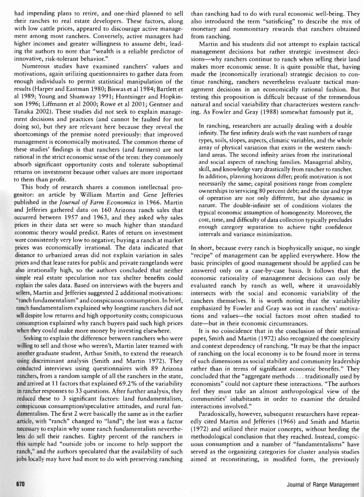had impending plans to retire, and one-third planned to sell their ranches to real estate developers. These factors, along with low cattle prices, appeared to discourage active management among most ranchers. Conversely, active managers had higher incomes and greater willingness to assume debt, leading the authors to note that "wealth is a reliable predictor of innovative, risk-tolerant behavior."

Numerous studies have examined ranchers' values and motivations, again utilizing questionnaires to gather data from enough individuals to permit statistical manipulation of the results (Harper and Eastman 1980; Biswas et al 1984; Bartlett et al 1989; Young and Shumway 1991; Huntsinger and Hopkinson 1996; Liffmann et al 2000; Rowe et al 2001; Gentner and Tanaka 2002). These studies did not seek to explain management decisions and practices (and cannot be faulted for not doing so), but they are relevant here because they reveal the shortcomings of the premise noted previously: that improved management is economically motivated. The common theme of these studies' findings is that ranchers (and farmers) are not rational in the strict economic sense of the term: they commonly absorb significant opportunity costs and tolerate suboptimal returns on investment because other values are more important to them than profit.

This body of research shares a common intellectual progenitor: an article by William Martin and Gene Jefferies published in the Journal of Farm Economics in 1966. Martin and Jefferies gathered data on 160 Arizona ranch sales that occurred between 1957 and 1963, and they asked why sales prices in their data set were so much higher than standard economic theory would predict. Rates of return on investment were consistently very low to negative; buying a ranch at market prices was economically irrational. The data indicated that distance to urbanized areas did not explain variation in sales prices and that lease rates for public and private rangelands were also irrationally high, so the authors concluded that neither simple real estate speculation nor tax shelter benefits could explain the sales data. Based on interviews with the buyers and sellers, Martin and Jefferies suggested 2 additional motivations: "ranch fundamentalism" and conspicuous consumption. In brief, ranch fundamentalism explained why longtime ranchers did not sell despite low returns and high opportunity costs; conspicuous consumption explained why ranch buyers paid such high prices when they could make more money by investing elsewhere.

Seeking to explain the difference between ranchers who were willing to sell and those who weren't, Martin later teamed with another graduate student, Arthur Smith, to extend the research using discriminant analysis (Smith and Martin 1972). They conducted interviews using questionnaires with 89 Arizona ranchers, from a random sample of all the ranchers in the state, and arrived at 11 factors that explained 69.2% of the variability in rancher responses to 33 questions. After further analysis, they reduced these to 3 significant factors: land fundamentalism, conspicuous consumption/speculative attitudes, and rural fundamentalism. The first 2 were basically the same as in the earlier article, with "ranch" changed to "land"; the last was a factor necessary to explain why some ranch fundamentalists nevertheless do sell their ranches. Eighty percent of the ranchers in this sample had "outside jobs or income to help support the ranch," and the authors speculated that the availability of such jobs locally may have had more to do with preserving ranching than ranching had to do with rural economic well being. They also introduced the term "satisficing" to describe the mix of monetary and nonmonetary rewards that ranchers obtained from ranching.

Martin and his students did not attempt to explain tactical management decisions but rather strategic investment decisions—why ranchers continue to ranch when selling their land makes more economic sense. It is quite possible that, having made the (economically irrational) strategic decision to continue ranching, ranchers nevertheless evaluate tactical management decisions in an economically rational fashion. But testing this proposition is difficult because of the tremendous natural and social variability that characterizes western ranching. As Fowler and Gray (1988) somewhat famously put it,

In ranching, researchers are actually dealing with a double infinity. The first infinity deals with the vast numbers of range types, soils, slopes, aspects, climatic variables, and the whole array of physical variation that exists in the western ranchland areas. The second infinity arises from the institutional and social aspects of ranching families. Managerial ability, skill, and knowledge vary drastically from rancher to rancher. In addition, planning horizons differ; profit motivation is not necessarily the same; capital positions range from complete ownerships to servicing 80 percent debt; and the size and type of operation are not only different, but also dynamic in nature. The double infinite set of conditions violates the typical economic assumption of homogeneity. Moreover, the cost, time, and difficulty of data collection typically precludes enough category separation to achieve tight confidence intervals and variance minimization.

In short, because every ranch is biophysically unique, no single "recipe" of management can be applied everywhere. How the basic principles of good management should be applied can be answered only on a case -by -case basis. It follows that the economic rationality of management decisions can only be evaluated ranch by ranch as well, where it unavoidably intersects with the social and economic variability of the ranchers themselves. It is worth noting that the variability emphasized by Fowler and Gray was not in ranchers' motivations and values-the social factors most often studied to date—but in their economic circumstances.

It is no coincidence that in the conclusion of their seminal paper, Smith and Martin (1972) also recognized the complexity and context dependency of ranching. "It may be that the impact of ranching on the local economy is to be found more in terms of such dimensions as social stability and community leadership rather than in terms of significant economic benefits." They concluded that the "aggregate methods ... traditionally used by economists" could not capture these interactions. "The authors feel they must take an almost anthropological view of the communities' inhabitants in order to examine the detailed interactions involved."

Paradoxically, however, subsequent researchers have repeatedly cited Martin and Jefferies (1966) and Smith and Martin (1972) and utilized their major concepts, without heeding the methodological conclusion that they reached. Instead, conspicuous consumption and a number of "fundamentalisms" have served as the organizing categories for cluster analysis studies aimed at reconstituting, in modified form, the previously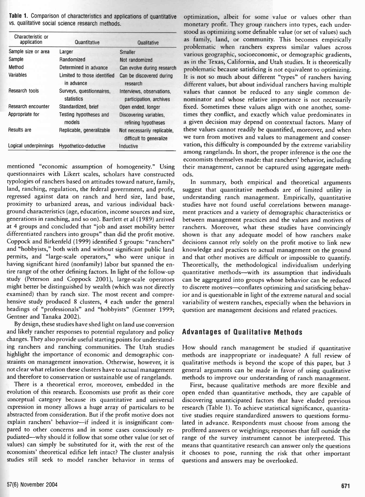Table 1. Comparison of characteristics and applications of quantitative vs. qualitative social science research methods.

| Characteristic or<br>application | Quantitative                                  | Qualitative                                            |
|----------------------------------|-----------------------------------------------|--------------------------------------------------------|
| Sample size or area              | Larger                                        | <b>Smaller</b>                                         |
| Sample                           | Randomized                                    | Not randomized                                         |
| Method                           | Determined in advance                         | Can evolve during research                             |
| Variables                        | Limited to those identified<br>in advance     | Can be discovered during<br>research                   |
| Research tools                   | Surveys, questionnaires.<br><b>statistics</b> | Interviews, observations.<br>participation, archives   |
| Research encounter               | Standardized, brief                           | Open ended, longer                                     |
| Appropriate for                  | Testing hypotheses and<br>models              | Discovering variables,<br>refining hypotheses          |
| <b>Results are</b>               | Replicable, generalizable                     | Not necessarily replicable,<br>difficult to generalize |
| Logical underpinnings            | Hypothetico-deductive                         | Inductive                                              |

mentioned "economic assumption of homogeneity." Using questionnaires with Likert scales, scholars have constructed typologies of ranchers based on attitudes toward nature, family, land, ranching, regulation, the federal government, and profit, regressed against data on ranch and herd size, land base, proximity to urbanized areas, and various individual background characteristics (age, education, income sources and size, generations in ranching, and so on). Bartlett et al (1989) arrived at 4 groups and concluded that "job and asset mobility better differentiated ranchers into groups" than did the profit motive. Coppock and Birkenfeld (1999) identified 5 groups: "ranchers" and "hobbyists," both with and without significant public land permits, and "large -scale operators," who were unique in having significant hired (nonfamily) labor but spanned the entire range of the other defining factors. In light of the follow -up study (Peterson and Coppock 2001), large-scale operators might better be distinguished by wealth (which was not directly examined) than by ranch size. The most recent and comprehensive study produced 8 clusters, 4 each under the general headings of "professionals" and "hobbyists" (Gentner 1999; Gentner and Tanaka 2002).

By design, these studies have shed light on land use conversion and likely rancher responses to potential regulatory and policy changes. They also provide useful starting points for understanding ranchers and ranching communities. The Utah studies highlight the importance of economic and demographic constraints on management innovation. Otherwise, however, it is not clear what relation these clusters have to actual management and therefore to conservation or sustainable use of rangelands.

There is a theoretical error, moreover, embedded in the evolution of this research. Economists use profit as their core conceptual category because its quantitative and universal expression in money allows a huge array of particulars to be abstracted from consideration. But if the profit motive does not explain ranchers' behavior-if indeed it is insignificant compared to other concerns and in some cases consciously repudiated-why should it follow that some other value (or set of values) can simply be substituted for it, with the rest of the economists' theoretical edifice left intact? The cluster analysis studies still seek to model rancher behavior in terms of

Can evolve during research problematic because satisficing is not equivalent to optimizing. Can be discovered during It is not so much about different "types" of ranchers having optimization, albeit for some value or values other than monetary profit. They group ranchers into types, each understood as optimizing some definable value (or set of values) such as family, land, or community. This becomes empirically problematic when ranchers express similar values across various geographic, socioeconomic, or demographic gradients, as in the Texas, California, and Utah studies. It is theoretically different values, but about individual ranchers having multiple values that cannot be reduced to any single common denominator and whose relative importance is not necessarily fixed. Sometimes these values align with one another, sometimes they conflict, and exactly which value predominates in a given decision may depend on contextual factors. Many of these values cannot readily be quantified, moreover, and when we turn from motives and values to management and conservation, this difficulty is compounded by the extreme variability among rangelands. In short, the proper inference is the one the economists themselves made: that ranchers' behavior, including their management, cannot be captured using aggregate methods.

> In summary, both empirical and theoretical arguments suggest that quantitative methods are of limited utility in understanding ranch management. Empirically, quantitative studies have not found useful correlations between management practices and a variety of demographic characteristics or between management practices and the values and motives of ranchers. Moreover, what these studies have convincingly shown is that any adequate model of how ranchers make decisions cannot rely solely on the profit motive to link new knowledge and practices to actual management on the ground and that other motives are difficult or impossible to quantify. Theoretically, the methodological individualism underlying quantitative methods-with its assumption that individuals can be aggregated into groups whose behavior can be reduced to discrete motives—conflates optimizing and satisficing behavior and is questionable in light of the extreme natural and social variability of western ranches, especially when the behaviors in question are management decisions and related practices.

## Advantages of Qualitative Methods

How should ranch management be studied if quantitative methods are inappropriate or inadequate? A full review of qualitative methods is beyond the scope of this paper, but 3 general arguments can be made in favor of using qualitative methods to improve our understanding of ranch management.

First, because qualitative methods are more flexible and open ended than quantitative methods, they are capable of discovering unanticipated factors that have eluded previous research (Table 1). To achieve statistical significance, quantitative studies require standardized answers to questions formulated in advance. Respondents must choose from among the proffered answers or weightings; responses that fall outside the range of the survey instrument cannot be interpreted. This means that quantitative research can answer only the questions it chooses to pose, running the risk that other important questions and answers may be overlooked.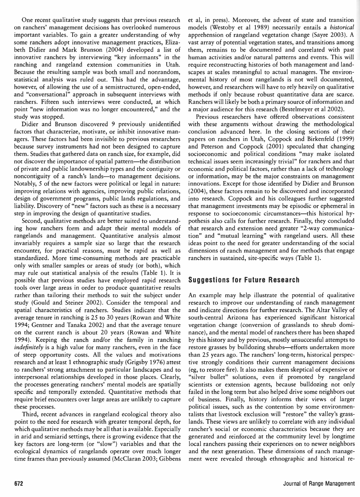One recent qualitative study suggests that previous research on ranchers' management decisions has overlooked numerous important variables. To gain a greater understanding of why some ranchers adopt innovative management practices, Elizabeth Didier and Mark Brunson (2004) developed a list of innovative ranchers by interviewing "key informants" in the ranching and rangeland extension communities in Utah. Because the resulting sample was both small and nonrandom, statistical analysis was ruled out. This had the advantage, however, of allowing the use of a semistructured, open-ended, and "conversational" approach in subsequent interviews with ranchers. Fifteen such interviews were conducted, at which point "new information was no longer encountered," and the study was stopped.

Didier and Brunson discovered 9 previously unidentified factors that characterize, motivate, or inhibit innovative managers. These factors had been invisible to previous researchers because survey instruments had not been designed to capture them. Studies that gathered data on ranch size, for example, did not discover the importance of spatial pattern-the distribution of private and public landownership types and the contiguity or noncontiguity of a ranch's lands-to management decisions. Notably, 5 of the new factors were political or legal in nature: improving relations with agencies, improving public relations, design of government programs, public lands regulations, and liability. Discovery of "new" factors such as these is a necessary step in improving the design of quantitative studies.

Second, qualitative methods are better suited to understanding how ranchers form and adapt their mental models of rangelands and management. Quantitative analysis almost invariably requires a sample size so large that the research encounter, for practical reasons, must be rapid as well as standardized. More time consuming methods are practicable only with smaller samples or areas of study (or both), which may rule out statistical analysis of the results (Table 1). It is possible that previous studies have employed rapid research tools over large areas in order to produce quantitative results rather than tailoring their methods to suit the subject under study (Gould and Steiner 2002). Consider the temporal and spatial characteristics of ranchers. Studies indicate that the average tenure in ranching is 25 to 30 years (Rowan and White 1994; Gentner and Tanaka 2002) and that the average tenure on the current ranch is about 20 years (Rowan and White 1994). Keeping the ranch and/or the family in ranching indefinitely is a high value for many ranchers, even in the face of steep opportunity costs. All the values and motivations research and at least 1 ethnographic study (Grigsby 1976) attest to ranchers' strong attachment to particular landscapes and to interpersonal relationships developed in those places. Clearly, the processes generating ranchers' mental models are spatially specific and temporally extended. Quantitative methods that require brief encounters over large areas are unlikely to capture these processes.

Third, recent advances in rangeland ecological theory also point to the need for research with greater temporal depth, for which qualitative methods may be all that is available. Especially in arid and semiarid settings, there is growing evidence that the key factors are long-term (or "slow") variables and that the ecological dynamics of rangelands operate over much longer time frames than previously assumed (McClaran 2003; Gibbens et al, in press). Moreover, the advent of state and transition models (Westoby et al 1989) necessarily entails a historical apprehension of rangeland vegetation change (Sayre 2003). A vast array of potential vegetation states, and transitions among them, remains to be documented and correlated with past human activities and/or natural patterns and events. This will require reconstructing histories of both management and landscapes at scales meaningful to actual managers. The environmental history of most rangelands is not well documented, however, and researchers will have to rely heavily on qualitative methods if only because robust quantitative data are scarce. Ranchers will likely be both a primary source of information and a major audience for this research (Bestelmeyer et al 2002).

Previous researchers have offered observations consistent with these arguments without drawing the methodological conclusion advanced here. In the closing sections of their papers on ranchers in Utah, Coppock and Birkenfeld (1999) and Peterson and Coppock (2001) speculated that changing socioeconomic and political conditions "may make isolated technical issues seem increasingly trivial" for ranchers and that economic and political factors, rather than a lack of technology or information, may be the major constraints on management innovations. Except for those identified by Didier and Brunson (2004), these factors remain to be discovered and incorporated into research. Coppock and his colleagues further suggested that management investments may be episodic or ephemeral in response to socioeconomic circumstances—this historical hypothesis also calls for further research. Finally, they concluded that research and extension need greater "2-way communication" and "mutual learning" with rangeland users. All these ideas point to the need for greater understanding of the social dimensions of ranch management and for methods that engage ranchers in sustained, site specific ways (Table 1).

# Suggestions for Future Research

An example may help illustrate the potential of qualitative research to improve our understanding of ranch management and indicate directions for further research. The Altar Valley of south central Arizona has experienced significant historical vegetation change (conversion of grasslands to shrub dominance), and the mental model of ranchers there has been shaped by this history and by previous, mostly unsuccessful attempts to restore grasses by bulldozing shrubs—efforts undertaken more than 25 years ago. The ranchers' long-term, historical perspective strongly conditions their current management decisions (eg, to restore fire). It also makes them skeptical of expensive or "silver bullet" solutions, even if promoted by rangeland scientists or extension agents, because bulldozing not only failed in the long term but also helped drive some neighbors out of business. Finally, history informs their views of larger political issues, such as the contention by some environmentalists that livestock exclusion will "restore" the valley's grasslands. These views are unlikely to correlate with any individual rancher's social or economic characteristics because they are generated and reinforced at the community level by longtime local ranchers passing their experiences on to newer neighbors and the next generation. These dimensions of ranch management were revealed through ethnographic and historical re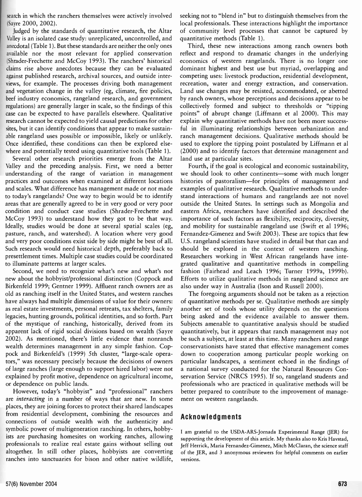search in which the ranchers themselves were actively involved (Sayre 2000, 2002).

Judged by the standards of quantitative research, the Altar Valley is an isolated case study: unreplicated, uncontrolled, and anecdotal (Table 1). But these standards are neither the only ones available nor the most relevant for applied conservation (Shrader Frechette and McCoy 1993). The ranchers' historical claims rise above anecdotes because they can be evaluated against published research, archival sources, and outside interviews, for example. The processes driving both management and vegetation change in the valley (eg, climate, fire policies, beef industry economics, rangeland research, and government regulations) are generally larger in scale, so the findings of this case can be expected to have parallels elsewhere. Qualitative research cannot be expected to yield causal predictions for other sites, but it can identify conditions that appear to make sustainable rangeland uses possible or impossible, likely or unlikely. Once identified, these conditions can then be explored elsewhere and potentially tested using quantitative tools (Table 1).

Several other research priorities emerge from the Altar Valley and the preceding analysis. First, we need a better understanding of the range of variation in management practices and outcomes when examined at different locations and scales. What difference has management made or not made to today's rangelands? One way to begin would be to identify areas that are generally agreed to be in very good or very poor condition and conduct case studies (Shrader Frechette and McCoy 1993) to understand how they got to be that way. Ideally, studies would be done at several spatial scales (eg, pasture, ranch, and watershed). A location where very good and very poor conditions exist side by side might be best of all. Such research would need historical depth, preferably back to presettlement times. Multiple case studies could be coordinated to illuminate patterns at larger scales.

Second, we need to recognize what's new and what's not new about the hobbyist/professional distinction (Coppock and Birkenfeld 1999; Gentner 1999). Affluent ranch owners are as old as ranching itself in the United States, and western ranches have always had multiple dimensions of value for their owners: as real estate investments, personal retreats, tax shelters, family legacies, hunting grounds, political identities, and so forth. Part of the mystique of ranching, historically, derived from its apparent lack of rigid social divisions based on wealth (Sayre 2002). As mentioned, there's little evidence that nonranch wealth determines management in any simple fashion. Cop pock and Birkenfeld's (1999) 5th cluster, "large -scale operators," was necessary precisely because the decisions of owners of large ranches (large enough to support hired labor) were not explained by profit motive, dependence on agricultural income, or dependence on public lands.

However, today's "hobbyist" and "professional" ranchers are interacting in a number of ways that are new. In some places, they are joining forces to protect their shared landscapes from residential development, combining the resources and connections of outside wealth with the authenticity and symbolic power of multigeneration ranching. In others, hobbyists are purchasing homesites on working ranches, allowing professionals to realize real estate gains without selling out altogether. In still other places, hobbyists are converting ranches into sanctuaries for bison and other native wildlife, seeking not to "blend in" but to distinguish themselves from the local professionals. These interactions highlight the importance of community level processes that cannot be captured by quantitative methods (Table 1).

Third, these new interactions among ranch owners both reflect and respond to dramatic changes in the underlying economics of western rangelands. There is no longer one dominant highest and best use but myriad, overlapping and competing uses: livestock production, residential development, recreation, water and energy extraction, and conservation. Land use changes may be resisted, accommodated, or abetted by ranch owners, whose perceptions and decisions appear to be collectively formed and subject to thresholds or "tipping points" of abrupt change (Liffmann et al 2000). This may explain why quantitative methods have not been more successful in illuminating relationships between urbanization and ranch management decisions. Qualitative methods should be used to explore the tipping point postulated by Liffmann et al (2000) and to identify factors that determine management and land use at particular sites.

Fourth, if the goal is ecological and economic sustainability, we should look to other continents-some with much longer histories of pastoralism—for principles of management and examples of qualitative research. Qualitative methods to understand interactions of humans and rangelands are not novel outside the United States. In settings such as Mongolia and eastern Africa, researchers have identified and described the importance of such factors as flexibility, reciprocity, diversity, and mobility for sustainable rangeland use (Swift et al 1996; Fernandez-Gimenez and Swift 2003). These are topics that few U.S. rangeland scientists have studied in detail but that can and should be explored in the context of western ranching. Researchers working in West African rangelands have integrated qualitative and quantitative methods in compelling fashion (Fairhead and Leach 1996; Turner 1999a, 1999b). Efforts to utilize qualitative methods in rangeland science are also under way in Australia (Ison and Russell 2000).

The foregoing arguments should not be taken as a rejection of quantitative methods per se. Qualitative methods are simply another set of tools whose utility depends on the questions being asked and the evidence available to answer them. Subjects amenable to quantitative analysis should be studied quantitatively, but it appears that ranch management may not be such a subject, at least at this time. Many ranchers and range conservationists have stated that effective management comes down to cooperation among particular people working on particular landscapes, a sentiment echoed in the findings of a national survey conducted for the Natural Resources Conservation Service (NRCS 1995). If so, rangeland students and professionals who are practiced in qualitative methods will be better prepared to contribute to the improvement of management on western rangelands.

## Acknowledgments

I am grateful to the USDA- ARS- Jornada Experimental Range (JER) for supporting the development of this article. My thanks also to Kris Haystad, Jeff Herrick, Maria Fernandez Gimenez, Mitch McClaran, the science staff of the JER, and 3 anonymous reviewers for helpful comments on earlier versions.